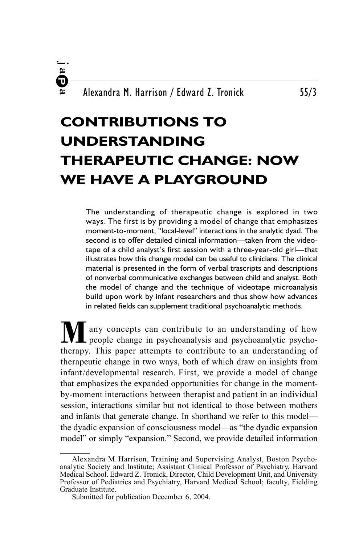

# **CONTRIBUTIONS TO UNDERSTANDING THERAPEUTIC CHANGE: NOW WE HAVE A PLAYGROUND**

The understanding of therapeutic change is explored in two ways. The first is by providing a model of change that emphasizes moment-to-moment, "local-level" interactions in the analytic dyad. The second is to offer detailed clinical information—taken from the videotape of a child analyst's first session with a three-year-old girl—that illustrates how this change model can be useful to clinicians. The clinical material is presented in the form of verbal trascripts and descriptions of nonverbal communicative exchanges between child and analyst. Both the model of change and the technique of videotape microanalysis build upon work by infant researchers and thus show how advances in related fields can supplement traditional psychoanalytic methods.

**M** any concepts can contribute to an understanding of how people change in psychoanalysis and psychoanalytic psychotherapy. This paper attempts to contribute to an understanding of therapeutic change in two ways, both of which draw on insights from infant/developmental research. First, we provide a model of change that emphasizes the expanded opportunities for change in the momentby-moment interactions between therapist and patient in an individual session, interactions similar but not identical to those between mothers and infants that generate change. In shorthand we refer to this model the dyadic expansion of consciousness model—as "the dyadic expansion **Expansion of the simple Constrainers** (Fig. 1997). The method of the method of the simple the simple the simple the simple the method of the method of the method of the method of the method of the method of the simple si

Alexandra M. Harrison, Training and Supervising Analyst, Boston Psychoanalytic Society and Institute; Assistant Clinical Professor of Psychiatry, Harvard Medical School. Edward Z. Tronick, Director, Child Development Unit, and University Professor of Pediatrics and Psychiatry, Harvard Medical School; faculty, Fielding Graduate Institute.

Submitted for publication December 6, 2004.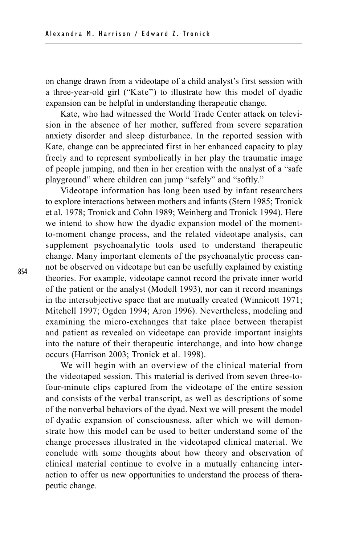on change drawn from a videotape of a child analyst's first session with a three-year-old girl ("Kate") to illustrate how this model of dyadic expansion can be helpful in understanding therapeutic change.

Kate, who had witnessed the World Trade Center attack on television in the absence of her mother, suffered from severe separation anxiety disorder and sleep disturbance. In the reported session with Kate, change can be appreciated first in her enhanced capacity to play freely and to represent symbolically in her play the traumatic image of people jumping, and then in her creation with the analyst of a "safe playground" where children can jump "safely" and "softly."

Videotape information has long been used by infant researchers to explore interactions between mothers and infants (Stern 1985; Tronick et al. 1978; Tronick and Cohn 1989; Weinberg and Tronick 1994). Here we intend to show how the dyadic expansion model of the momentto-moment change process, and the related videotape analysis, can supplement psychoanalytic tools used to understand therapeutic change. Many important elements of the psychoanalytic process cannot be observed on videotape but can be usefully explained by existing theories. For example, videotape cannot record the private inner world of the patient or the analyst (Modell 1993), nor can it record meanings in the intersubjective space that are mutually created (Winnicott 1971; Mitchell 1997; Ogden 1994; Aron 1996). Nevertheless, modeling and examining the micro-exchanges that take place between therapist and patient as revealed on videotape can provide important insights into the nature of their therapeutic interchange, and into how change occurs (Harrison 2003; Tronick et al. 1998).

We will begin with an overview of the clinical material from the videotaped session. This material is derived from seven three-tofour-minute clips captured from the videotape of the entire session and consists of the verbal transcript, as well as descriptions of some of the nonverbal behaviors of the dyad. Next we will present the model of dyadic expansion of consciousness, after which we will demonstrate how this model can be used to better understand some of the change processes illustrated in the videotaped clinical material. We conclude with some thoughts about how theory and observation of clinical material continue to evolve in a mutually enhancing interaction to offer us new opportunities to understand the process of therapeutic change.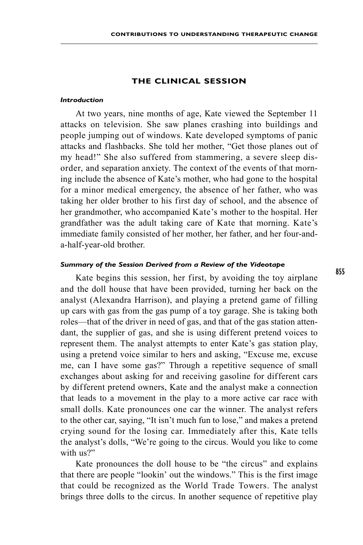## **THE CLINICAL SESSION**

#### *Introduction*

At two years, nine months of age, Kate viewed the September 11 attacks on television. She saw planes crashing into buildings and people jumping out of windows. Kate developed symptoms of panic attacks and flashbacks. She told her mother, "Get those planes out of my head!" She also suffered from stammering, a severe sleep disorder, and separation anxiety. The context of the events of that morning include the absence of Kate's mother, who had gone to the hospital for a minor medical emergency, the absence of her father, who was taking her older brother to his first day of school, and the absence of her grandmother, who accompanied Kate's mother to the hospital. Her grandfather was the adult taking care of Kate that morning. Kate's immediate family consisted of her mother, her father, and her four-anda-half-year-old brother.

#### *Summary of the Session Derived from a Review of the Videotape*

Kate begins this session, her first, by avoiding the toy airplane and the doll house that have been provided, turning her back on the analyst (Alexandra Harrison), and playing a pretend game of filling up cars with gas from the gas pump of a toy garage. She is taking both roles—that of the driver in need of gas, and that of the gas station attendant, the supplier of gas, and she is using different pretend voices to represent them. The analyst attempts to enter Kate's gas station play, using a pretend voice similar to hers and asking, "Excuse me, excuse me, can I have some gas?" Through a repetitive sequence of small exchanges about asking for and receiving gasoline for different cars by different pretend owners, Kate and the analyst make a connection that leads to a movement in the play to a more active car race with small dolls. Kate pronounces one car the winner. The analyst refers to the other car, saying, "It isn't much fun to lose," and makes a pretend crying sound for the losing car. Immediately after this, Kate tells the analyst's dolls, "We're going to the circus. Would you like to come with us?"

Kate pronounces the doll house to be "the circus" and explains that there are people "lookin' out the windows." This is the first image that could be recognized as the World Trade Towers. The analyst brings three dolls to the circus. In another sequence of repetitive play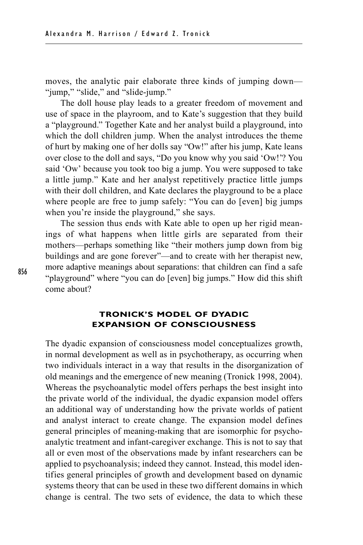moves, the analytic pair elaborate three kinds of jumping down— "jump," "slide," and "slide-jump."

The doll house play leads to a greater freedom of movement and use of space in the playroom, and to Kate's suggestion that they build a "playground." Together Kate and her analyst build a playground, into which the doll children jump. When the analyst introduces the theme of hurt by making one of her dolls say "Ow!" after his jump, Kate leans over close to the doll and says, "Do you know why you said 'Ow!'? You said 'Ow' because you took too big a jump. You were supposed to take a little jump." Kate and her analyst repetitively practice little jumps with their doll children, and Kate declares the playground to be a place where people are free to jump safely: "You can do [even] big jumps when you're inside the playground," she says.

The session thus ends with Kate able to open up her rigid meanings of what happens when little girls are separated from their mothers—perhaps something like "their mothers jump down from big buildings and are gone forever"—and to create with her therapist new, more adaptive meanings about separations: that children can find a safe "playground" where "you can do [even] big jumps." How did this shift come about?

# **TRONICK'S MODEL OF DYADIC EXPANSION OF CONSCIOUSNESS**

The dyadic expansion of consciousness model conceptualizes growth, in normal development as well as in psychotherapy, as occurring when two individuals interact in a way that results in the disorganization of old meanings and the emergence of new meaning (Tronick 1998, 2004). Whereas the psychoanalytic model offers perhaps the best insight into the private world of the individual, the dyadic expansion model offers an additional way of understanding how the private worlds of patient and analyst interact to create change. The expansion model defines general principles of meaning-making that are isomorphic for psychoanalytic treatment and infant-caregiver exchange. This is not to say that all or even most of the observations made by infant researchers can be applied to psychoanalysis; indeed they cannot. Instead, this model identifies general principles of growth and development based on dynamic systems theory that can be used in these two different domains in which change is central. The two sets of evidence, the data to which these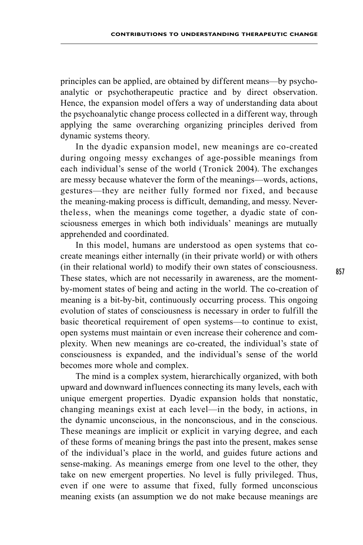principles can be applied, are obtained by different means—by psychoanalytic or psychotherapeutic practice and by direct observation. Hence, the expansion model offers a way of understanding data about the psychoanalytic change process collected in a different way, through applying the same overarching organizing principles derived from dynamic systems theory.

In the dyadic expansion model, new meanings are co-created during ongoing messy exchanges of age-possible meanings from each individual's sense of the world (Tronick 2004). The exchanges are messy because whatever the form of the meanings—words, actions, gestures—they are neither fully formed nor fixed, and because the meaning-making process is difficult, demanding, and messy. Nevertheless, when the meanings come together, a dyadic state of consciousness emerges in which both individuals' meanings are mutually apprehended and coordinated.

In this model, humans are understood as open systems that cocreate meanings either internally (in their private world) or with others (in their relational world) to modify their own states of consciousness. These states, which are not necessarily in awareness, are the momentby-moment states of being and acting in the world. The co-creation of meaning is a bit-by-bit, continuously occurring process. This ongoing evolution of states of consciousness is necessary in order to fulfill the basic theoretical requirement of open systems—to continue to exist, open systems must maintain or even increase their coherence and complexity. When new meanings are co-created, the individual's state of consciousness is expanded, and the individual's sense of the world becomes more whole and complex.

The mind is a complex system, hierarchically organized, with both upward and downward influences connecting its many levels, each with unique emergent properties. Dyadic expansion holds that nonstatic, changing meanings exist at each level—in the body, in actions, in the dynamic unconscious, in the nonconscious, and in the conscious. These meanings are implicit or explicit in varying degree, and each of these forms of meaning brings the past into the present, makes sense of the individual's place in the world, and guides future actions and sense-making. As meanings emerge from one level to the other, they take on new emergent properties. No level is fully privileged. Thus, even if one were to assume that fixed, fully formed unconscious meaning exists (an assumption we do not make because meanings are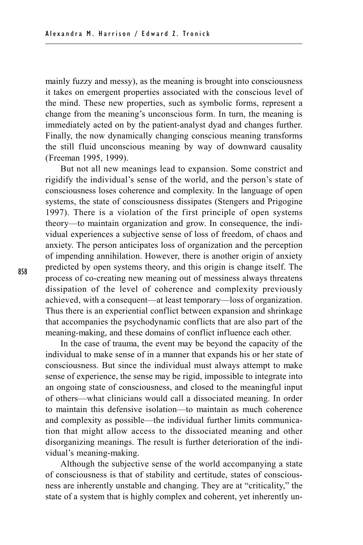mainly fuzzy and messy), as the meaning is brought into consciousness it takes on emergent properties associated with the conscious level of the mind. These new properties, such as symbolic forms, represent a change from the meaning's unconscious form. In turn, the meaning is immediately acted on by the patient-analyst dyad and changes further. Finally, the now dynamically changing conscious meaning transforms the still fluid unconscious meaning by way of downward causality (Freeman 1995, 1999).

But not all new meanings lead to expansion. Some constrict and rigidify the individual's sense of the world, and the person's state of consciousness loses coherence and complexity. In the language of open systems, the state of consciousness dissipates (Stengers and Prigogine 1997). There is a violation of the first principle of open systems theory—to maintain organization and grow. In consequence, the individual experiences a subjective sense of loss of freedom, of chaos and anxiety. The person anticipates loss of organization and the perception of impending annihilation. However, there is another origin of anxiety predicted by open systems theory, and this origin is change itself. The process of co-creating new meaning out of messiness always threatens dissipation of the level of coherence and complexity previously achieved, with a consequent—at least temporary—loss of organization. Thus there is an experiential conflict between expansion and shrinkage that accompanies the psychodynamic conflicts that are also part of the meaning-making, and these domains of conflict influence each other.

In the case of trauma, the event may be beyond the capacity of the individual to make sense of in a manner that expands his or her state of consciousness. But since the individual must always attempt to make sense of experience, the sense may be rigid, impossible to integrate into an ongoing state of consciousness, and closed to the meaningful input of others—what clinicians would call a dissociated meaning. In order to maintain this defensive isolation—to maintain as much coherence and complexity as possible—the individual further limits communication that might allow access to the dissociated meaning and other disorganizing meanings. The result is further deterioration of the individual's meaning-making.

Although the subjective sense of the world accompanying a state of consciousness is that of stability and certitude, states of consciousness are inherently unstable and changing. They are at "criticality," the state of a system that is highly complex and coherent, yet inherently un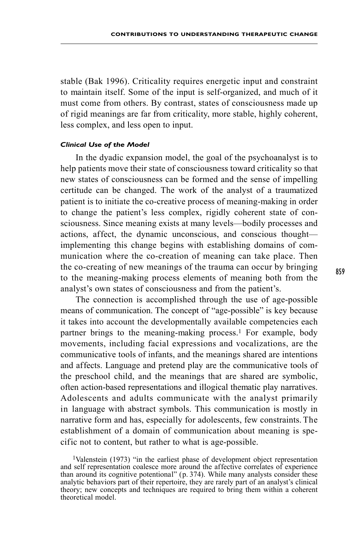stable (Bak 1996). Criticality requires energetic input and constraint to maintain itself. Some of the input is self-organized, and much of it must come from others. By contrast, states of consciousness made up of rigid meanings are far from criticality, more stable, highly coherent, less complex, and less open to input.

## *Clinical Use of the Model*

In the dyadic expansion model, the goal of the psychoanalyst is to help patients move their state of consciousness toward criticality so that new states of consciousness can be formed and the sense of impelling certitude can be changed. The work of the analyst of a traumatized patient is to initiate the co-creative process of meaning-making in order to change the patient's less complex, rigidly coherent state of consciousness. Since meaning exists at many levels—bodily processes and actions, affect, the dynamic unconscious, and conscious thought implementing this change begins with establishing domains of communication where the co-creation of meaning can take place. Then the co-creating of new meanings of the trauma can occur by bringing to the meaning-making process elements of meaning both from the analyst's own states of consciousness and from the patient's.

The connection is accomplished through the use of age-possible means of communication. The concept of "age-possible" is key because it takes into account the developmentally available competencies each partner brings to the meaning-making process.1 For example, body movements, including facial expressions and vocalizations, are the communicative tools of infants, and the meanings shared are intentions and affects. Language and pretend play are the communicative tools of the preschool child, and the meanings that are shared are symbolic, often action-based representations and illogical thematic play narratives. Adolescents and adults communicate with the analyst primarily in language with abstract symbols. This communication is mostly in narrative form and has, especially for adolescents, few constraints. The establishment of a domain of communication about meaning is specific not to content, but rather to what is age-possible.

<sup>1</sup>Valenstein (1973) "in the earliest phase of development object representation and self representation coalesce more around the affective correlates of experience than around its cognitive potentional" (p. 374). While many analysts consider these analytic behaviors part of their repertoire, they are rarely part of an analyst's clinical theory; new concepts and techniques are required to bring them within a coherent theoretical model.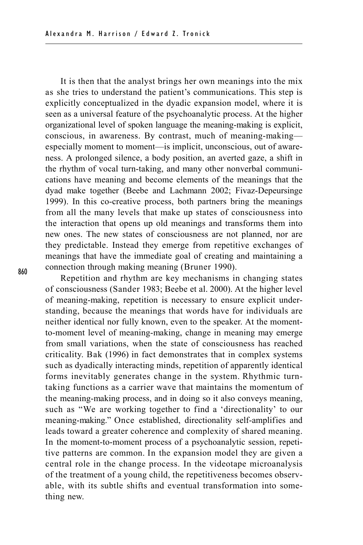It is then that the analyst brings her own meanings into the mix as she tries to understand the patient's communications. This step is explicitly conceptualized in the dyadic expansion model, where it is seen as a universal feature of the psychoanalytic process. At the higher organizational level of spoken language the meaning-making is explicit, conscious, in awareness. By contrast, much of meaning-making especially moment to moment—is implicit, unconscious, out of awareness. A prolonged silence, a body position, an averted gaze, a shift in the rhythm of vocal turn-taking, and many other nonverbal communications have meaning and become elements of the meanings that the dyad make together (Beebe and Lachmann 2002; Fivaz-Depeursinge 1999). In this co-creative process, both partners bring the meanings from all the many levels that make up states of consciousness into the interaction that opens up old meanings and transforms them into new ones. The new states of consciousness are not planned, nor are they predictable. Instead they emerge from repetitive exchanges of meanings that have the immediate goal of creating and maintaining a connection through making meaning (Bruner 1990).

Repetition and rhythm are key mechanisms in changing states of consciousness (Sander 1983; Beebe et al. 2000). At the higher level of meaning-making, repetition is necessary to ensure explicit understanding, because the meanings that words have for individuals are neither identical nor fully known, even to the speaker. At the momentto-moment level of meaning-making, change in meaning may emerge from small variations, when the state of consciousness has reached criticality. Bak (1996) in fact demonstrates that in complex systems such as dyadically interacting minds, repetition of apparently identical forms inevitably generates change in the system. Rhythmic turntaking functions as a carrier wave that maintains the momentum of the meaning-making process, and in doing so it also conveys meaning, such as "We are working together to find a 'directionality' to our meaning-making." Once established, directionality self-amplifies and leads toward a greater coherence and complexity of shared meaning. In the moment-to-moment process of a psychoanalytic session, repetitive patterns are common. In the expansion model they are given a central role in the change process. In the videotape microanalysis of the treatment of a young child, the repetitiveness becomes observable, with its subtle shifts and eventual transformation into something new.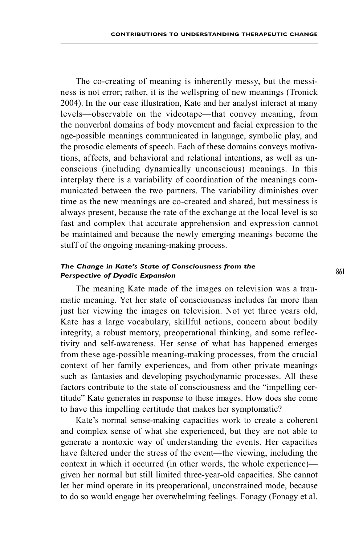The co-creating of meaning is inherently messy, but the messiness is not error; rather, it is the wellspring of new meanings (Tronick 2004). In the our case illustration, Kate and her analyst interact at many levels—observable on the videotape—that convey meaning, from the nonverbal domains of body movement and facial expression to the age-possible meanings communicated in language, symbolic play, and the prosodic elements of speech. Each of these domains conveys motivations, affects, and behavioral and relational intentions, as well as unconscious (including dynamically unconscious) meanings. In this interplay there is a variability of coordination of the meanings communicated between the two partners. The variability diminishes over time as the new meanings are co-created and shared, but messiness is always present, because the rate of the exchange at the local level is so fast and complex that accurate apprehension and expression cannot be maintained and because the newly emerging meanings become the stuff of the ongoing meaning-making process.

## *The Change in Kate's State of Consciousness from the Perspective of Dyadic Expansion*

The meaning Kate made of the images on television was a traumatic meaning. Yet her state of consciousness includes far more than just her viewing the images on television. Not yet three years old, Kate has a large vocabulary, skillful actions, concern about bodily integrity, a robust memory, preoperational thinking, and some reflectivity and self-awareness. Her sense of what has happened emerges from these age-possible meaning-making processes, from the crucial context of her family experiences, and from other private meanings such as fantasies and developing psychodynamic processes. All these factors contribute to the state of consciousness and the "impelling certitude" Kate generates in response to these images. How does she come to have this impelling certitude that makes her symptomatic?

Kate's normal sense-making capacities work to create a coherent and complex sense of what she experienced, but they are not able to generate a nontoxic way of understanding the events. Her capacities have faltered under the stress of the event—the viewing, including the context in which it occurred (in other words, the whole experience) given her normal but still limited three-year-old capacities. She cannot let her mind operate in its preoperational, unconstrained mode, because to do so would engage her overwhelming feelings. Fonagy (Fonagy et al.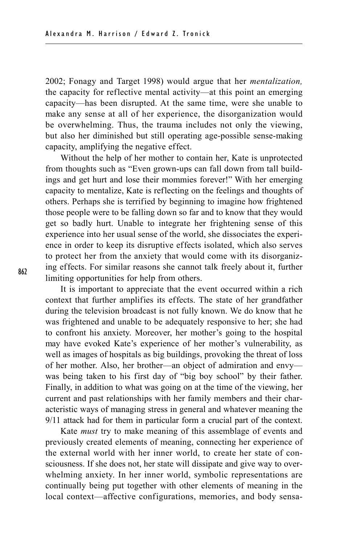2002; Fonagy and Target 1998) would argue that her *mentalization,* the capacity for reflective mental activity—at this point an emerging capacity—has been disrupted. At the same time, were she unable to make any sense at all of her experience, the disorganization would be overwhelming. Thus, the trauma includes not only the viewing, but also her diminished but still operating age-possible sense-making capacity, amplifying the negative effect.

Without the help of her mother to contain her, Kate is unprotected from thoughts such as "Even grown-ups can fall down from tall buildings and get hurt and lose their mommies forever!" With her emerging capacity to mentalize, Kate is reflecting on the feelings and thoughts of others. Perhaps she is terrified by beginning to imagine how frightened those people were to be falling down so far and to know that they would get so badly hurt. Unable to integrate her frightening sense of this experience into her usual sense of the world, she dissociates the experience in order to keep its disruptive effects isolated, which also serves to protect her from the anxiety that would come with its disorganizing effects. For similar reasons she cannot talk freely about it, further limiting opportunities for help from others.

It is important to appreciate that the event occurred within a rich context that further amplifies its effects. The state of her grandfather during the television broadcast is not fully known. We do know that he was frightened and unable to be adequately responsive to her; she had to confront his anxiety. Moreover, her mother's going to the hospital may have evoked Kate's experience of her mother's vulnerability, as well as images of hospitals as big buildings, provoking the threat of loss of her mother. Also, her brother—an object of admiration and envy was being taken to his first day of "big boy school" by their father. Finally, in addition to what was going on at the time of the viewing, her current and past relationships with her family members and their characteristic ways of managing stress in general and whatever meaning the 9/11 attack had for them in particular form a crucial part of the context.

Kate *must* try to make meaning of this assemblage of events and previously created elements of meaning, connecting her experience of the external world with her inner world, to create her state of consciousness. If she does not, her state will dissipate and give way to overwhelming anxiety. In her inner world, symbolic representations are continually being put together with other elements of meaning in the local context—affective configurations, memories, and body sensa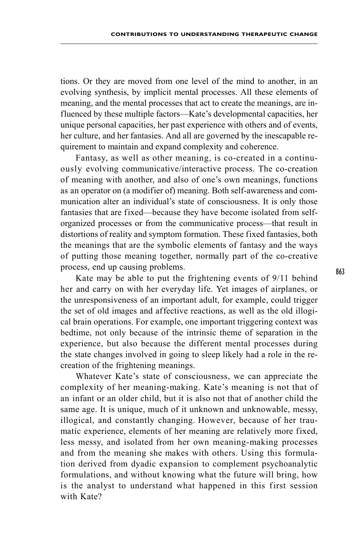tions. Or they are moved from one level of the mind to another, in an evolving synthesis, by implicit mental processes. All these elements of meaning, and the mental processes that act to create the meanings, are influenced by these multiple factors—Kate's developmental capacities, her unique personal capacities, her past experience with others and of events, her culture, and her fantasies. And all are governed by the inescapable requirement to maintain and expand complexity and coherence.

Fantasy, as well as other meaning, is co-created in a continuously evolving communicative/interactive process. The co-creation of meaning with another, and also of one's own meanings, functions as an operator on (a modifier of) meaning. Both self-awareness and communication alter an individual's state of consciousness. It is only those fantasies that are fixed—because they have become isolated from selforganized processes or from the communicative process—that result in distortions of reality and symptom formation. These fixed fantasies, both the meanings that are the symbolic elements of fantasy and the ways of putting those meaning together, normally part of the co-creative process, end up causing problems.

Kate may be able to put the frightening events of 9/11 behind her and carry on with her everyday life. Yet images of airplanes, or the unresponsiveness of an important adult, for example, could trigger the set of old images and affective reactions, as well as the old illogical brain operations. For example, one important triggering context was bedtime, not only because of the intrinsic theme of separation in the experience, but also because the different mental processes during the state changes involved in going to sleep likely had a role in the recreation of the frightening meanings.

Whatever Kate's state of consciousness, we can appreciate the complexity of her meaning-making. Kate's meaning is not that of an infant or an older child, but it is also not that of another child the same age. It is unique, much of it unknown and unknowable, messy, illogical, and constantly changing. However, because of her traumatic experience, elements of her meaning are relatively more fixed, less messy, and isolated from her own meaning-making processes and from the meaning she makes with others. Using this formulation derived from dyadic expansion to complement psychoanalytic formulations, and without knowing what the future will bring, how is the analyst to understand what happened in this first session with Kate?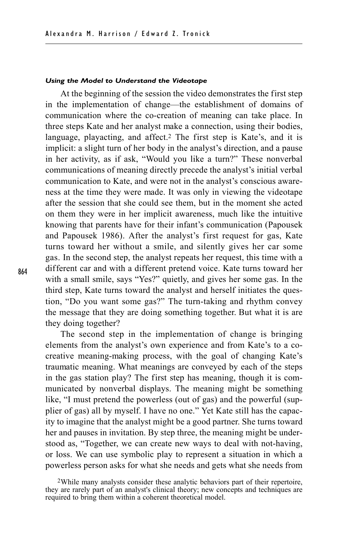#### *Using the Model to Understand the Videotape*

At the beginning of the session the video demonstrates the first step in the implementation of change—the establishment of domains of communication where the co-creation of meaning can take place. In three steps Kate and her analyst make a connection, using their bodies, language, playacting, and affect.2 The first step is Kate's, and it is implicit: a slight turn of her body in the analyst's direction, and a pause in her activity, as if ask, "Would you like a turn?" These nonverbal communications of meaning directly precede the analyst's initial verbal communication to Kate, and were not in the analyst's conscious awareness at the time they were made. It was only in viewing the videotape after the session that she could see them, but in the moment she acted on them they were in her implicit awareness, much like the intuitive knowing that parents have for their infant's communication (Papousek and Papousek 1986). After the analyst's first request for gas, Kate turns toward her without a smile, and silently gives her car some gas. In the second step, the analyst repeats her request, this time with a different car and with a different pretend voice. Kate turns toward her with a small smile, says "Yes?" quietly, and gives her some gas. In the third step, Kate turns toward the analyst and herself initiates the question, "Do you want some gas?" The turn-taking and rhythm convey the message that they are doing something together. But what it is are they doing together?

The second step in the implementation of change is bringing elements from the analyst's own experience and from Kate's to a cocreative meaning-making process, with the goal of changing Kate's traumatic meaning. What meanings are conveyed by each of the steps in the gas station play? The first step has meaning, though it is communicated by nonverbal displays. The meaning might be something like, "I must pretend the powerless (out of gas) and the powerful (supplier of gas) all by myself. I have no one." Yet Kate still has the capacity to imagine that the analyst might be a good partner. She turns toward her and pauses in invitation. By step three, the meaning might be understood as, "Together, we can create new ways to deal with not-having, or loss. We can use symbolic play to represent a situation in which a powerless person asks for what she needs and gets what she needs from

<sup>2</sup>While many analysts consider these analytic behaviors part of their repertoire, they are rarely part of an analyst's clinical theory; new concepts and techniques are required to bring them within a coherent theoretical model.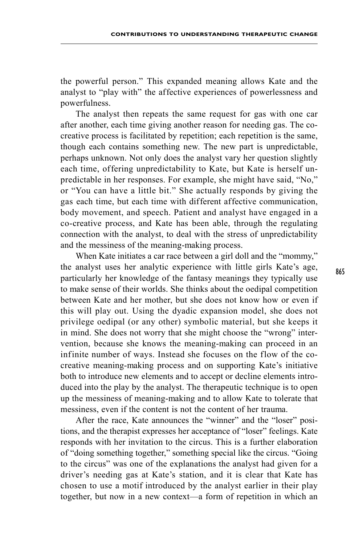the powerful person." This expanded meaning allows Kate and the analyst to "play with" the affective experiences of powerlessness and powerfulness.

The analyst then repeats the same request for gas with one car after another, each time giving another reason for needing gas. The cocreative process is facilitated by repetition; each repetition is the same, though each contains something new. The new part is unpredictable, perhaps unknown. Not only does the analyst vary her question slightly each time, offering unpredictability to Kate, but Kate is herself unpredictable in her responses. For example, she might have said, "No," or "You can have a little bit." She actually responds by giving the gas each time, but each time with different affective communication, body movement, and speech. Patient and analyst have engaged in a co-creative process, and Kate has been able, through the regulating connection with the analyst, to deal with the stress of unpredictability and the messiness of the meaning-making process.

When Kate initiates a car race between a girl doll and the "mommy," the analyst uses her analytic experience with little girls Kate's age, particularly her knowledge of the fantasy meanings they typically use to make sense of their worlds. She thinks about the oedipal competition between Kate and her mother, but she does not know how or even if this will play out. Using the dyadic expansion model, she does not privilege oedipal (or any other) symbolic material, but she keeps it in mind. She does not worry that she might choose the "wrong" intervention, because she knows the meaning-making can proceed in an infinite number of ways. Instead she focuses on the flow of the cocreative meaning-making process and on supporting Kate's initiative both to introduce new elements and to accept or decline elements introduced into the play by the analyst. The therapeutic technique is to open up the messiness of meaning-making and to allow Kate to tolerate that messiness, even if the content is not the content of her trauma.

After the race, Kate announces the "winner" and the "loser" positions, and the therapist expresses her acceptance of "loser" feelings. Kate responds with her invitation to the circus. This is a further elaboration of "doing something together," something special like the circus. "Going to the circus" was one of the explanations the analyst had given for a driver's needing gas at Kate's station, and it is clear that Kate has chosen to use a motif introduced by the analyst earlier in their play together, but now in a new context—a form of repetition in which an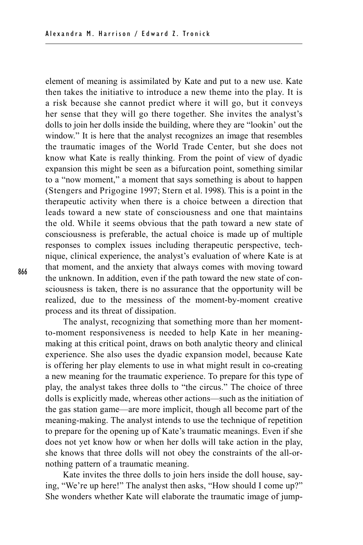element of meaning is assimilated by Kate and put to a new use. Kate then takes the initiative to introduce a new theme into the play. It is a risk because she cannot predict where it will go, but it conveys her sense that they will go there together. She invites the analyst's dolls to join her dolls inside the building, where they are "lookin' out the window." It is here that the analyst recognizes an image that resembles the traumatic images of the World Trade Center, but she does not know what Kate is really thinking. From the point of view of dyadic expansion this might be seen as a bifurcation point, something similar to a "now moment," a moment that says something is about to happen (Stengers and Prigogine 1997; Stern et al. 1998). This is a point in the therapeutic activity when there is a choice between a direction that leads toward a new state of consciousness and one that maintains the old. While it seems obvious that the path toward a new state of consciousness is preferable, the actual choice is made up of multiple responses to complex issues including therapeutic perspective, technique, clinical experience, the analyst's evaluation of where Kate is at that moment, and the anxiety that always comes with moving toward the unknown. In addition, even if the path toward the new state of consciousness is taken, there is no assurance that the opportunity will be realized, due to the messiness of the moment-by-moment creative process and its threat of dissipation.

The analyst, recognizing that something more than her momentto-moment responsiveness is needed to help Kate in her meaningmaking at this critical point, draws on both analytic theory and clinical experience. She also uses the dyadic expansion model, because Kate is offering her play elements to use in what might result in co-creating a new meaning for the traumatic experience. To prepare for this type of play, the analyst takes three dolls to "the circus." The choice of three dolls is explicitly made, whereas other actions—such as the initiation of the gas station game—are more implicit, though all become part of the meaning-making. The analyst intends to use the technique of repetition to prepare for the opening up of Kate's traumatic meanings. Even if she does not yet know how or when her dolls will take action in the play, she knows that three dolls will not obey the constraints of the all-ornothing pattern of a traumatic meaning.

Kate invites the three dolls to join hers inside the doll house, saying, "We're up here!" The analyst then asks, "How should I come up?" She wonders whether Kate will elaborate the traumatic image of jump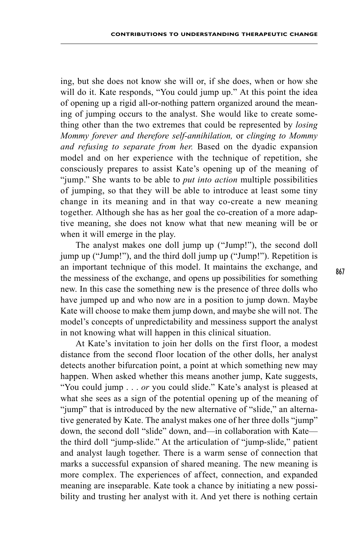ing, but she does not know she will or, if she does, when or how she will do it. Kate responds, "You could jump up." At this point the idea of opening up a rigid all-or-nothing pattern organized around the meaning of jumping occurs to the analyst. She would like to create something other than the two extremes that could be represented by *losing Mommy forever and therefore self-annihilation,* or *clinging to Mommy and refusing to separate from her.* Based on the dyadic expansion model and on her experience with the technique of repetition, she consciously prepares to assist Kate's opening up of the meaning of "jump." She wants to be able to *put into action* multiple possibilities of jumping, so that they will be able to introduce at least some tiny change in its meaning and in that way co-create a new meaning together. Although she has as her goal the co-creation of a more adaptive meaning, she does not know what that new meaning will be or when it will emerge in the play.

The analyst makes one doll jump up ("Jump!"), the second doll jump up ("Jump!"), and the third doll jump up ("Jump!"). Repetition is an important technique of this model. It maintains the exchange, and the messiness of the exchange, and opens up possibilities for something new. In this case the something new is the presence of three dolls who have jumped up and who now are in a position to jump down. Maybe Kate will choose to make them jump down, and maybe she will not. The model's concepts of unpredictability and messiness support the analyst in not knowing what will happen in this clinical situation.

At Kate's invitation to join her dolls on the first floor, a modest distance from the second floor location of the other dolls, her analyst detects another bifurcation point, a point at which something new may happen. When asked whether this means another jump, Kate suggests, "You could jump . . . *or* you could slide." Kate's analyst is pleased at what she sees as a sign of the potential opening up of the meaning of "jump" that is introduced by the new alternative of "slide," an alternative generated by Kate. The analyst makes one of her three dolls "jump" down, the second doll "slide" down, and—in collaboration with Kate the third doll "jump-slide." At the articulation of "jump-slide," patient and analyst laugh together. There is a warm sense of connection that marks a successful expansion of shared meaning. The new meaning is more complex. The experiences of affect, connection, and expanded meaning are inseparable. Kate took a chance by initiating a new possibility and trusting her analyst with it. And yet there is nothing certain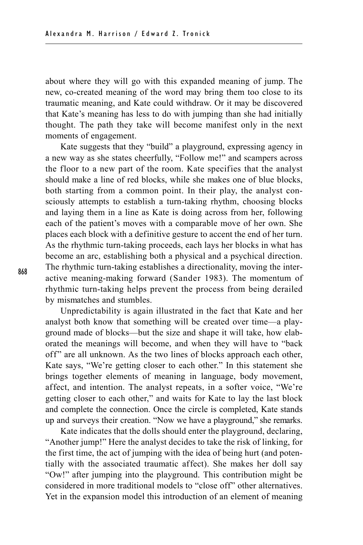about where they will go with this expanded meaning of jump. The new, co-created meaning of the word may bring them too close to its traumatic meaning, and Kate could withdraw. Or it may be discovered that Kate's meaning has less to do with jumping than she had initially thought. The path they take will become manifest only in the next moments of engagement.

Kate suggests that they "build" a playground, expressing agency in a new way as she states cheerfully, "Follow me!" and scampers across the floor to a new part of the room. Kate specifies that the analyst should make a line of red blocks, while she makes one of blue blocks, both starting from a common point. In their play, the analyst consciously attempts to establish a turn-taking rhythm, choosing blocks and laying them in a line as Kate is doing across from her, following each of the patient's moves with a comparable move of her own. She places each block with a definitive gesture to accent the end of her turn. As the rhythmic turn-taking proceeds, each lays her blocks in what has become an arc, establishing both a physical and a psychical direction. The rhythmic turn-taking establishes a directionality, moving the interactive meaning-making forward (Sander 1983). The momentum of rhythmic turn-taking helps prevent the process from being derailed by mismatches and stumbles.

Unpredictability is again illustrated in the fact that Kate and her analyst both know that something will be created over time—a playground made of blocks—but the size and shape it will take, how elaborated the meanings will become, and when they will have to "back off" are all unknown. As the two lines of blocks approach each other, Kate says, "We're getting closer to each other." In this statement she brings together elements of meaning in language, body movement, affect, and intention. The analyst repeats, in a softer voice, "We're getting closer to each other," and waits for Kate to lay the last block and complete the connection. Once the circle is completed, Kate stands up and surveys their creation. "Now we have a playground," she remarks.

Kate indicates that the dolls should enter the playground, declaring, "Another jump!" Here the analyst decides to take the risk of linking, for the first time, the act of jumping with the idea of being hurt (and potentially with the associated traumatic affect). She makes her doll say "Ow!" after jumping into the playground. This contribution might be considered in more traditional models to "close off" other alternatives. Yet in the expansion model this introduction of an element of meaning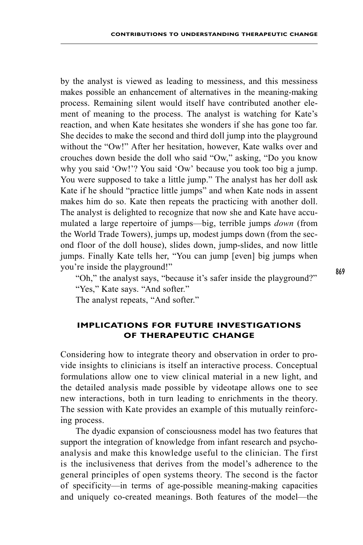by the analyst is viewed as leading to messiness, and this messiness makes possible an enhancement of alternatives in the meaning-making process. Remaining silent would itself have contributed another element of meaning to the process. The analyst is watching for Kate's reaction, and when Kate hesitates she wonders if she has gone too far. She decides to make the second and third doll jump into the playground without the "Ow!" After her hesitation, however, Kate walks over and crouches down beside the doll who said "Ow," asking, "Do you know why you said 'Ow!'? You said 'Ow' because you took too big a jump. You were supposed to take a little jump." The analyst has her doll ask Kate if he should "practice little jumps" and when Kate nods in assent makes him do so. Kate then repeats the practicing with another doll. The analyst is delighted to recognize that now she and Kate have accumulated a large repertoire of jumps—big, terrible jumps *down* (from the World Trade Towers), jumps up, modest jumps down (from the second floor of the doll house), slides down, jump-slides, and now little jumps. Finally Kate tells her, "You can jump [even] big jumps when you're inside the playground!"

"Oh," the analyst says, "because it's safer inside the playground?" "Yes," Kate says. "And softer."

The analyst repeats, "And softer."

# **IMPLICATIONS FOR FUTURE INVESTIGATIONS OF THERAPEUTIC CHANGE**

Considering how to integrate theory and observation in order to provide insights to clinicians is itself an interactive process. Conceptual formulations allow one to view clinical material in a new light, and the detailed analysis made possible by videotape allows one to see new interactions, both in turn leading to enrichments in the theory. The session with Kate provides an example of this mutually reinforcing process.

The dyadic expansion of consciousness model has two features that support the integration of knowledge from infant research and psychoanalysis and make this knowledge useful to the clinician. The first is the inclusiveness that derives from the model's adherence to the general principles of open systems theory. The second is the factor of specificity—in terms of age-possible meaning-making capacities and uniquely co-created meanings. Both features of the model—the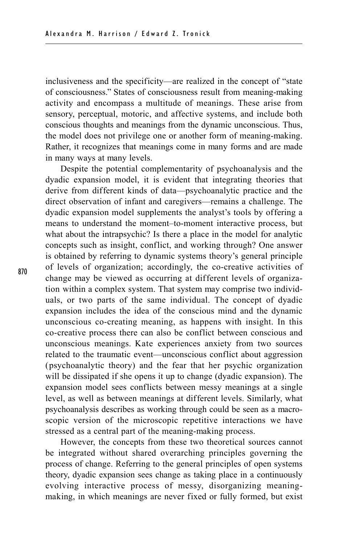inclusiveness and the specificity—are realized in the concept of "state of consciousness." States of consciousness result from meaning-making activity and encompass a multitude of meanings. These arise from sensory, perceptual, motoric, and affective systems, and include both conscious thoughts and meanings from the dynamic unconscious. Thus, the model does not privilege one or another form of meaning-making. Rather, it recognizes that meanings come in many forms and are made in many ways at many levels.

Despite the potential complementarity of psychoanalysis and the dyadic expansion model, it is evident that integrating theories that derive from different kinds of data—psychoanalytic practice and the direct observation of infant and caregivers—remains a challenge. The dyadic expansion model supplements the analyst's tools by offering a means to understand the moment–to-moment interactive process, but what about the intrapsychic? Is there a place in the model for analytic concepts such as insight, conflict, and working through? One answer is obtained by referring to dynamic systems theory's general principle of levels of organization; accordingly, the co-creative activities of change may be viewed as occurring at different levels of organization within a complex system. That system may comprise two individuals, or two parts of the same individual. The concept of dyadic expansion includes the idea of the conscious mind and the dynamic unconscious co-creating meaning, as happens with insight. In this co-creative process there can also be conflict between conscious and unconscious meanings. Kate experiences anxiety from two sources related to the traumatic event—unconscious conflict about aggression (psychoanalytic theory) and the fear that her psychic organization will be dissipated if she opens it up to change (dyadic expansion). The expansion model sees conflicts between messy meanings at a single level, as well as between meanings at different levels. Similarly, what psychoanalysis describes as working through could be seen as a macroscopic version of the microscopic repetitive interactions we have stressed as a central part of the meaning-making process.

However, the concepts from these two theoretical sources cannot be integrated without shared overarching principles governing the process of change. Referring to the general principles of open systems theory, dyadic expansion sees change as taking place in a continuously evolving interactive process of messy, disorganizing meaningmaking, in which meanings are never fixed or fully formed, but exist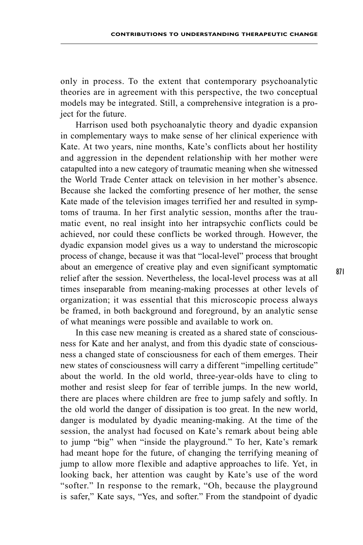only in process. To the extent that contemporary psychoanalytic theories are in agreement with this perspective, the two conceptual models may be integrated. Still, a comprehensive integration is a project for the future.

Harrison used both psychoanalytic theory and dyadic expansion in complementary ways to make sense of her clinical experience with Kate. At two years, nine months, Kate's conflicts about her hostility and aggression in the dependent relationship with her mother were catapulted into a new category of traumatic meaning when she witnessed the World Trade Center attack on television in her mother's absence. Because she lacked the comforting presence of her mother, the sense Kate made of the television images terrified her and resulted in symptoms of trauma. In her first analytic session, months after the traumatic event, no real insight into her intrapsychic conflicts could be achieved, nor could these conflicts be worked through. However, the dyadic expansion model gives us a way to understand the microscopic process of change, because it was that "local-level" process that brought about an emergence of creative play and even significant symptomatic relief after the session. Nevertheless, the local-level process was at all times inseparable from meaning-making processes at other levels of organization; it was essential that this microscopic process always be framed, in both background and foreground, by an analytic sense of what meanings were possible and available to work on.

In this case new meaning is created as a shared state of consciousness for Kate and her analyst, and from this dyadic state of consciousness a changed state of consciousness for each of them emerges. Their new states of consciousness will carry a different "impelling certitude" about the world. In the old world, three-year-olds have to cling to mother and resist sleep for fear of terrible jumps. In the new world, there are places where children are free to jump safely and softly. In the old world the danger of dissipation is too great. In the new world, danger is modulated by dyadic meaning-making. At the time of the session, the analyst had focused on Kate's remark about being able to jump "big" when "inside the playground." To her, Kate's remark had meant hope for the future, of changing the terrifying meaning of jump to allow more flexible and adaptive approaches to life. Yet, in looking back, her attention was caught by Kate's use of the word "softer." In response to the remark, "Oh, because the playground is safer," Kate says, "Yes, and softer." From the standpoint of dyadic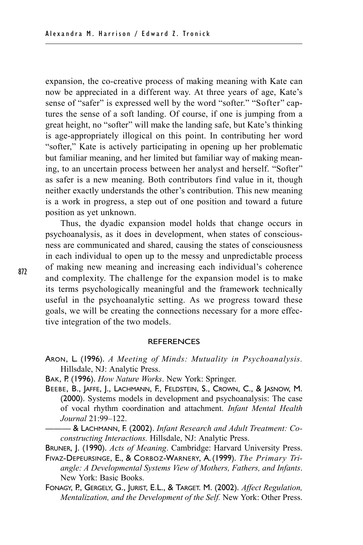expansion, the co-creative process of making meaning with Kate can now be appreciated in a different way. At three years of age, Kate's sense of "safer" is expressed well by the word "softer." "Softer" captures the sense of a soft landing. Of course, if one is jumping from a great height, no "softer" will make the landing safe, but Kate's thinking is age-appropriately illogical on this point. In contributing her word "softer," Kate is actively participating in opening up her problematic but familiar meaning, and her limited but familiar way of making meaning, to an uncertain process between her analyst and herself. "Softer" as safer is a new meaning. Both contributors find value in it, though neither exactly understands the other's contribution. This new meaning is a work in progress, a step out of one position and toward a future position as yet unknown.

Thus, the dyadic expansion model holds that change occurs in psychoanalysis, as it does in development, when states of consciousness are communicated and shared, causing the states of consciousness in each individual to open up to the messy and unpredictable process of making new meaning and increasing each individual's coherence and complexity. The challenge for the expansion model is to make its terms psychologically meaningful and the framework technically useful in the psychoanalytic setting. As we progress toward these goals, we will be creating the connections necessary for a more effective integration of the two models.

#### **REFERENCES**

ARON, L. (1996). *A Meeting of Minds: Mutuality in Psychoanalysis.* Hillsdale, NJ: Analytic Press.

BAK, P. (1996). *How Nature Works*. New York: Springer.

BEEBE, B., JAFFE, J., LACHMANN, F., FELDSTEIN, S., CROWN, C., & JASNOW, M. (2000). Systems models in development and psychoanalysis: The case of vocal rhythm coordination and attachment. *Infant Mental Health Journal* 21:99–122.

——— & LACHMANN, F. (2002). *Infant Research and Adult Treatment: Coconstructing Interactions.* Hillsdale, NJ: Analytic Press.

BRUNER, J. (1990). *Acts of Meaning*. Cambridge: Harvard University Press.

- FIVAZ-DEPEURSINGE, E., & CORBOZ-WARNERY, A. (1999). *The Primary Triangle: A Developmental Systems View of Mothers, Fathers, and Infants*. New York: Basic Books.
- FONAGY, P., GERGELY, G., JURIST, E.L., & TARGET. M. (2002). *Affect Regulation, Mentalization, and the Development of the Self.* New York: Other Press.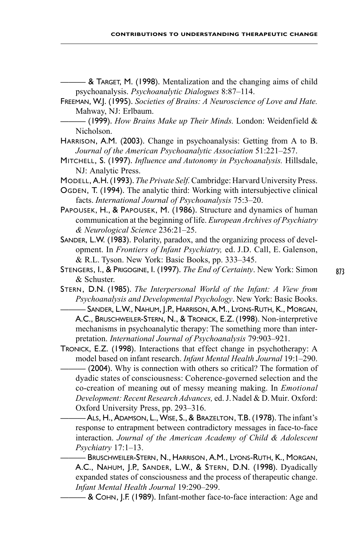- & TARGET, M. (1998). Mentalization and the changing aims of child psychoanalysis. *Psychoanalytic Dialogues* 8:87–114.

- FREEMAN, W.J. (1995). *Societies of Brains: A Neuroscience of Love and Hate.* Mahway, NJ: Erlbaum.
	- ——— (1999). *How Brains Make up Their Minds.* London: Weidenfield & Nicholson.
- HARRISON, A.M. (2003). Change in psychoanalysis: Getting from A to B. *Journal of the American Psychoanalytic Association* 51:221–257.
- MITCHELL, S. (1997). *Influence and Autonomy in Psychoanalysis.* Hillsdale, NJ: Analytic Press.
- MODELL, A.H. (1993). *The Private Self.*Cambridge: Harvard University Press.
- OGDEN, T. (1994). The analytic third: Working with intersubjective clinical facts. *International Journal of Psychoanalysis* 75:3–20.
- PAPOUSEK, H., & PAPOUSEK, M. (1986). Structure and dynamics of human communication at the beginning of life. *European Archives of Psychiatry & Neurological Science* 236:21–25.
- SANDER, L.W. (1983). Polarity, paradox, and the organizing process of development. In *Frontiers of Infant Psychiatry,* ed. J.D. Call, E. Galenson, & R.L. Tyson. New York: Basic Books, pp. 333–345.
- STENGERS, I., & PRIGOGINE, I. (1997). *The End of Certainty*. New York: Simon & Schuster.
- STERN, D.N. (1985). *The Interpersonal World of the Infant: A View from Psychoanalysis and Developmental Psychology*. New York: Basic Books. - Sander, L.W., Nahum, J.P., Harrison, A.M., Lyons-Ruth, K., Morgan,

A.C., BRUSCHWEILER-STERN, N., & TRONICK, E.Z. (1998). Non-interpretive mechanisms in psychoanalytic therapy: The something more than interpretation. *International Journal of Psychoanalysis* 79:903–921.

- TRONICK, E.Z. (1998). Interactions that effect change in psychotherapy: A model based on infant research. *Infant Mental Health Journal* 19:1–290.
	- (2004). Why is connection with others so critical? The formation of dyadic states of consciousness: Coherence-governed selection and the co-creation of meaning out of messy meaning making. In *Emotional Development: Recent Research Advances,* ed. J. Nadel & D. Muir. Oxford: Oxford University Press, pp. 293–316.
		- $-$  Als, H., Adamson, L., Wise, S., & Brazelton, T.B. (1978). The  $\inf$ ant's response to entrapment between contradictory messages in face-to-face interaction. *Journal of the American Academy of Child & Adolescent Psychiatry* 17:1–13.
		- ——— BRUSCHWEILER-STERN, N., HARRISON, A.M., LYONS-RUTH, K., MORGAN, A.C., NAHUM, J.P., SANDER, L.W., & STERN, D.N. (1998). Dyadically expanded states of consciousness and the process of therapeutic change. *Infant Mental Health Journal* 19:290–299.
		- & Сонм, J.F. (1989). Infant-mother face-to-face interaction: Age and